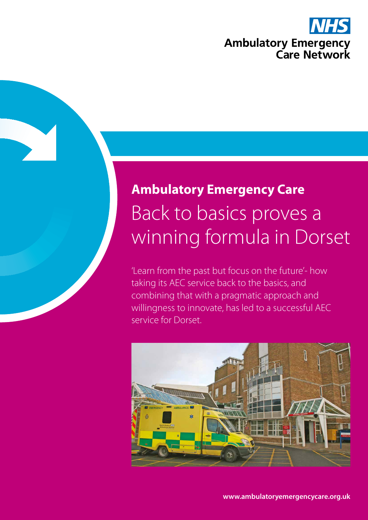# **Ambulatory Emergency<br>Care Network**

## **Ambulatory Emergency Care** Back to basics proves a winning formula in Dorset

'Learn from the past but focus on the future'- how taking its AEC service back to the basics, and combining that with a pragmatic approach and willingness to innovate, has led to a successful AEC service for Dorset.



**www.ambulatoryemergencycare.org.uk**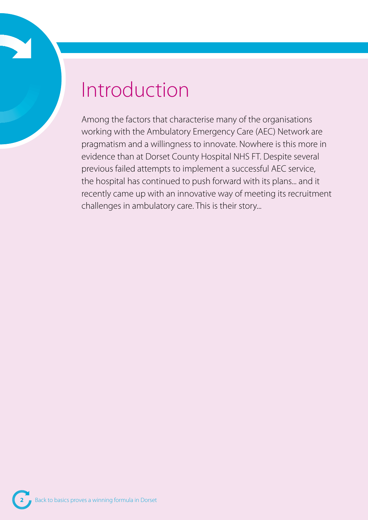## Introduction

Among the factors that characterise many of the organisations working with the Ambulatory Emergency Care (AEC) Network are pragmatism and a willingness to innovate. Nowhere is this more in evidence than at Dorset County Hospital NHS FT. Despite several previous failed attempts to implement a successful AEC service, the hospital has continued to push forward with its plans... and it recently came up with an innovative way of meeting its recruitment challenges in ambulatory care. This is their story...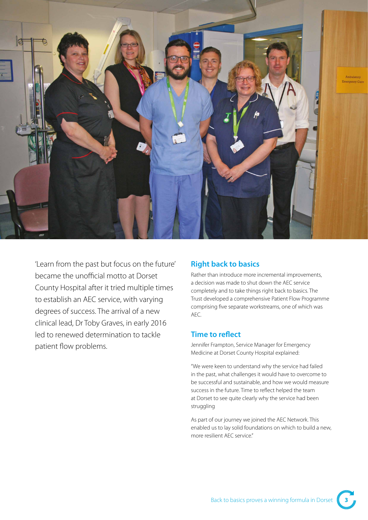

'Learn from the past but focus on the future' became the unofficial motto at Dorset County Hospital after it tried multiple times to establish an AEC service, with varying degrees of success. The arrival of a new clinical lead, Dr Toby Graves, in early 2016 led to renewed determination to tackle patient flow problems.

#### **Right back to basics**

Rather than introduce more incremental improvements, a decision was made to shut down the AEC service completely and to take things right back to basics. The Trust developed a comprehensive Patient Flow Programme comprising five separate workstreams, one of which was AEC.

#### **Time to reflect**

Jennifer Frampton, Service Manager for Emergency Medicine at Dorset County Hospital explained:

"We were keen to understand why the service had failed in the past, what challenges it would have to overcome to be successful and sustainable, and how we would measure success in the future. Time to reflect helped the team at Dorset to see quite clearly why the service had been struggling

As part of our journey we joined the AEC Network. This enabled us to lay solid foundations on which to build a new, more resilient AEC service."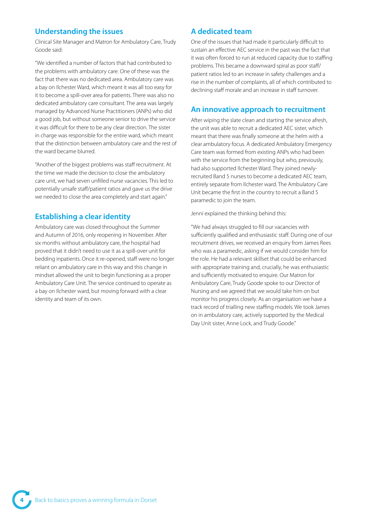#### **Understanding the issues**

Clinical Site Manager and Matron for Ambulatory Care, Trudy Goode said:

"We identified a number of factors that had contributed to the problems with ambulatory care. One of these was the fact that there was no dedicated area. Ambulatory care was a bay on Ilchester Ward, which meant it was all too easy for it to become a spill-over area for patients. There was also no dedicated ambulatory care consultant. The area was largely managed by Advanced Nurse Practitioners (ANPs) who did a good job, but without someone senior to drive the service it was difficult for there to be any clear direction. The sister in charge was responsible for the entire ward, which meant that the distinction between ambulatory care and the rest of the ward became blurred.

"Another of the biggest problems was staff recruitment. At the time we made the decision to close the ambulatory care unit, we had seven unfilled nurse vacancies. This led to potentially unsafe staff/patient ratios and gave us the drive we needed to close the area completely and start again."

#### **Establishing a clear identity**

Ambulatory care was closed throughout the Summer and Autumn of 2016, only reopening in November. After six months without ambulatory care, the hospital had proved that it didn't need to use it as a spill-over unit for bedding inpatients. Once it re-opened, staff were no longer reliant on ambulatory care in this way and this change in mindset allowed the unit to begin functioning as a proper Ambulatory Care Unit. The service continued to operate as a bay on Ilchester ward, but moving forward with a clear identity and team of its own.

#### **A dedicated team**

One of the issues that had made it particularly difficult to sustain an effective AEC service in the past was the fact that it was often forced to run at reduced capacity due to staffing problems. This became a downward spiral as poor staff/ patient ratios led to an increase in safety challenges and a rise in the number of complaints, all of which contributed to declining staff morale and an increase in staff turnover.

#### **An innovative approach to recruitment**

After wiping the slate clean and starting the service afresh, the unit was able to recruit a dedicated AEC sister, which meant that there was finally someone at the helm with a clear ambulatory focus. A dedicated Ambulatory Emergency Care team was formed from existing ANPs who had been with the service from the beginning but who, previously, had also supported Ilchester Ward. They joined newlyrecruited Band 5 nurses to become a dedicated AEC team, entirely separate from Ilchester ward. The Ambulatory Care Unit became the first in the country to recruit a Band 5 paramedic to join the team.

Jenni explained the thinking behind this:

"We had always struggled to fill our vacancies with sufficiently qualified and enthusiastic staff. During one of our recruitment drives, we received an enquiry from James Rees who was a paramedic, asking if we would consider him for the role. He had a relevant skillset that could be enhanced with appropriate training and, crucially, he was enthusiastic and sufficiently motivated to enquire. Our Matron for Ambulatory Care, Trudy Goode spoke to our Director of Nursing and we agreed that we would take him on but monitor his progress closely. As an organisation we have a track record of trialling new staffing models. We took James on in ambulatory care, actively supported by the Medical Day Unit sister, Anne Lock, and Trudy Goode."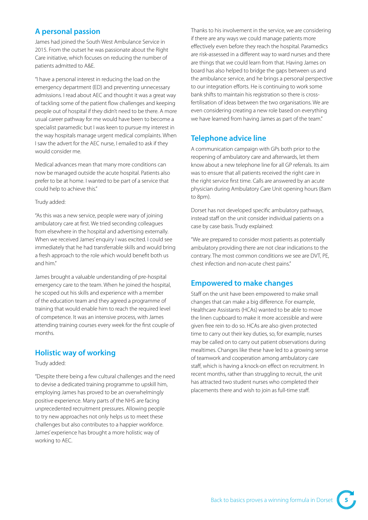#### **A personal passion**

James had joined the South West Ambulance Service in 2015. From the outset he was passionate about the Right Care initiative, which focuses on reducing the number of patients admitted to A&E.

"I have a personal interest in reducing the load on the emergency department (ED) and preventing unnecessary admissions. I read about AEC and thought it was a great way of tackling some of the patient flow challenges and keeping people out of hospital if they didn't need to be there. A more usual career pathway for me would have been to become a specialist paramedic but I was keen to pursue my interest in the way hospitals manage urgent medical complaints. When I saw the advert for the AEC nurse, I emailed to ask if they would consider me.

Medical advances mean that many more conditions can now be managed outside the acute hospital. Patients also prefer to be at home. I wanted to be part of a service that could help to achieve this."

#### Trudy added:

"As this was a new service, people were wary of joining ambulatory care at first. We tried seconding colleagues from elsewhere in the hospital and advertising externally. When we received James' enquiry I was excited. I could see immediately that he had transferrable skills and would bring a fresh approach to the role which would benefit both us and him."

James brought a valuable understanding of pre-hospital emergency care to the team. When he joined the hospital, he scoped out his skills and experience with a member of the education team and they agreed a programme of training that would enable him to reach the required level of competence. It was an intensive process, with James attending training courses every week for the first couple of months.

#### **Holistic way of working**

#### Trudy added:

"Despite there being a few cultural challenges and the need to devise a dedicated training programme to upskill him, employing James has proved to be an overwhelmingly positive experience. Many parts of the NHS are facing unprecedented recruitment pressures. Allowing people to try new approaches not only helps us to meet these challenges but also contributes to a happier workforce. James' experience has brought a more holistic way of working to AEC.

Thanks to his involvement in the service, we are considering if there are any ways we could manage patients more effectively even before they reach the hospital. Paramedics are risk-assessed in a different way to ward nurses and there are things that we could learn from that. Having James on board has also helped to bridge the gaps between us and the ambulance service, and he brings a personal perspective to our integration efforts. He is continuing to work some bank shifts to maintain his registration so there is crossfertilisation of ideas between the two organisations. We are even considering creating a new role based on everything we have learned from having James as part of the team."

#### **Telephone advice line**

A communication campaign with GPs both prior to the reopening of ambulatory care and afterwards, let them know about a new telephone line for all GP referrals. Its aim was to ensure that all patients received the right care in the right service first time. Calls are answered by an acute physician during Ambulatory Care Unit opening hours (8am to 8pm).

Dorset has not developed specific ambulatory pathways, instead staff on the unit consider individual patients on a case by case basis. Trudy explained:

"We are prepared to consider most patients as potentially ambulatory providing there are not clear indications to the contrary. The most common conditions we see are DVT, PE, chest infection and non-acute chest pains."

#### **Empowered to make changes**

Staff on the unit have been empowered to make small changes that can make a big difference. For example, Healthcare Assistants (HCAs) wanted to be able to move the linen cupboard to make it more accessible and were given free rein to do so. HCAs are also given protected time to carry out their key duties, so, for example, nurses may be called on to carry out patient observations during mealtimes. Changes like these have led to a growing sense of teamwork and cooperation among ambulatory care staff, which is having a knock-on effect on recruitment. In recent months, rather than struggling to recruit, the unit has attracted two student nurses who completed their placements there and wish to join as full-time staff.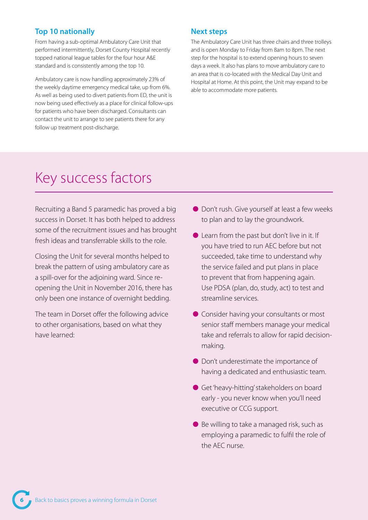#### **Top 10 nationally**

From having a sub-optimal Ambulatory Care Unit that performed intermittently, Dorset County Hospital recently topped national league tables for the four hour A&E standard and is consistently among the top 10.

Ambulatory care is now handling approximately 23% of the weekly daytime emergency medical take, up from 6%. As well as being used to divert patients from ED, the unit is now being used effectively as a place for clinical follow-ups for patients who have been discharged. Consultants can contact the unit to arrange to see patients there for any follow up treatment post-discharge.

#### **Next steps**

The Ambulatory Care Unit has three chairs and three trolleys and is open Monday to Friday from 8am to 8pm. The next step for the hospital is to extend opening hours to seven days a week. It also has plans to move ambulatory care to an area that is co-located with the Medical Day Unit and Hospital at Home. At this point, the Unit may expand to be able to accommodate more patients.

### Key success factors

Recruiting a Band 5 paramedic has proved a big success in Dorset. It has both helped to address some of the recruitment issues and has brought fresh ideas and transferrable skills to the role.

Closing the Unit for several months helped to break the pattern of using ambulatory care as a spill-over for the adjoining ward. Since reopening the Unit in November 2016, there has only been one instance of overnight bedding.

The team in Dorset offer the following advice to other organisations, based on what they have learned:

- Don't rush. Give yourself at least a few weeks to plan and to lay the groundwork.
- Learn from the past but don't live in it. If you have tried to run AEC before but not succeeded, take time to understand why the service failed and put plans in place to prevent that from happening again. Use PDSA (plan, do, study, act) to test and streamline services.
- Consider having your consultants or most senior staff members manage your medical take and referrals to allow for rapid decisionmaking.
- Don't underestimate the importance of having a dedicated and enthusiastic team.
- Get 'heavy-hitting' stakeholders on board early - you never know when you'll need executive or CCG support.
- $\bullet$  Be willing to take a managed risk, such as employing a paramedic to fulfil the role of the AEC nurse.

**6** Back to basics proves a winning formula in Dorset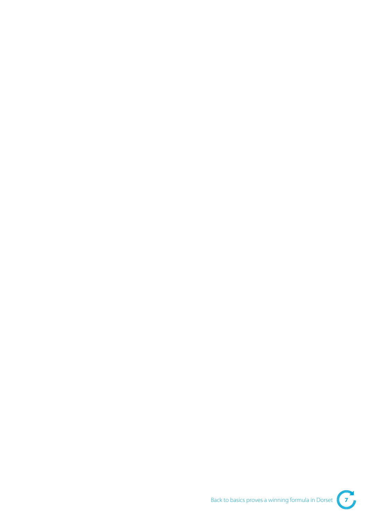